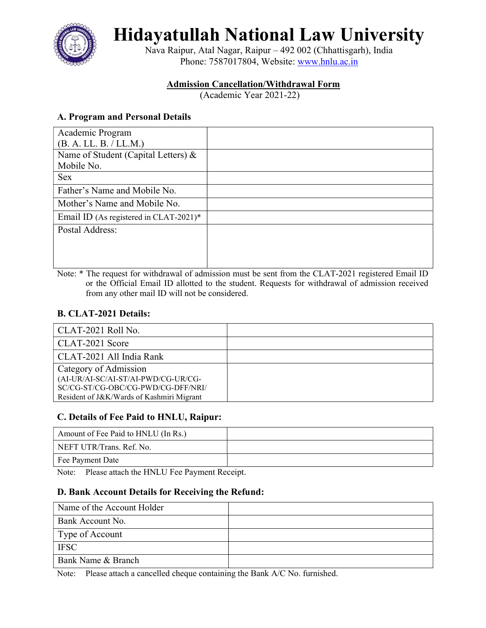

Hidayatullah National Law University

Nava Raipur, Atal Nagar, Raipur – 492 002 (Chhattisgarh), India Phone: 7587017804, Website: www.hnlu.ac.in

# Admission Cancellation/Withdrawal Form

(Academic Year 2021-22)

# A. Program and Personal Details

| Academic Program                       |  |
|----------------------------------------|--|
| (B. A. LL. B. / LL.M.)                 |  |
| Name of Student (Capital Letters) &    |  |
| Mobile No.                             |  |
| <b>Sex</b>                             |  |
| Father's Name and Mobile No.           |  |
| Mother's Name and Mobile No.           |  |
| Email ID (As registered in CLAT-2021)* |  |
| Postal Address:                        |  |
|                                        |  |
|                                        |  |
|                                        |  |

Note: \* The request for withdrawal of admission must be sent from the CLAT-2021 registered Email ID or the Official Email ID allotted to the student. Requests for withdrawal of admission received from any other mail ID will not be considered.

## B. CLAT-2021 Details:

| CLAT-2021 Roll No.                        |  |
|-------------------------------------------|--|
| CLAT-2021 Score                           |  |
| CLAT-2021 All India Rank                  |  |
| Category of Admission                     |  |
| (AI-UR/AI-SC/AI-ST/AI-PWD/CG-UR/CG-       |  |
| SC/CG-ST/CG-OBC/CG-PWD/CG-DFF/NRI/        |  |
| Resident of J&K/Wards of Kashmiri Migrant |  |

## C. Details of Fee Paid to HNLU, Raipur:

| Amount of Fee Paid to HNLU (In Rs.) |  |
|-------------------------------------|--|
| NEFT UTR/Trans. Ref. No.            |  |
| Fee Payment Date                    |  |

Note: Please attach the HNLU Fee Payment Receipt.

## D. Bank Account Details for Receiving the Refund:

| Name of the Account Holder |  |
|----------------------------|--|
| Bank Account No.           |  |
| Type of Account            |  |
| <b>IFSC</b>                |  |
| Bank Name & Branch         |  |

Note: Please attach a cancelled cheque containing the Bank A/C No. furnished.